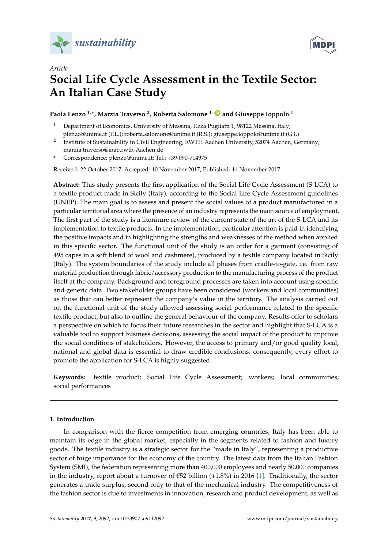



# *Article* **Social Life Cycle Assessment in the Textile Sector: An Italian Case Study**

## **Paola Lenzo 1,\*, Marzia Traverso <sup>2</sup> , Roberta Salomone <sup>1</sup> [ID](https://orcid.org/0000-0002-0809-7949) and Giuseppe Ioppolo <sup>1</sup>**

- <sup>1</sup> Department of Economics, University of Messina, P.zza Pugliatti 1, 98122 Messina, Italy; plenzo@unime.it (P.L.); roberta.salomone@unime.it (R.S.); giuseppe.ioppolo@unime.it (G.I.)
- 2 Institute of Sustainability in Civil Engineering, RWTH Aachen University, 52074 Aachen, Germany; marzia.traverso@inab.rwth-Aachen.de
- **\*** Correspondence: plenzo@unime.it; Tel.: +39-090-714975

Received: 22 October 2017; Accepted: 10 November 2017; Published: 14 November 2017

**Abstract:** This study presents the first application of the Social Life Cycle Assessment (S-LCA) to a textile product made in Sicily (Italy), according to the Social Life Cycle Assessment guidelines (UNEP). The main goal is to assess and present the social values of a product manufactured in a particular territorial area where the presence of an industry represents the main source of employment. The first part of the study is a literature review of the current state of the art of the S-LCA and its implementation to textile products. In the implementation, particular attention is paid in identifying the positive impacts and in highlighting the strengths and weaknesses of the method when applied in this specific sector. The functional unit of the study is an order for a garment (consisting of 495 capes in a soft blend of wool and cashmere), produced by a textile company located in Sicily (Italy). The system boundaries of the study include all phases from cradle-to-gate, i.e. from raw material production through fabric/accessory production to the manufacturing process of the product itself at the company. Background and foreground processes are taken into account using specific and generic data. Two stakeholder groups have been considered (workers and local communities) as those that can better represent the company's value in the territory. The analysis carried out on the functional unit of the study allowed assessing social performance related to the specific textile product, but also to outline the general behaviour of the company. Results offer to scholars a perspective on which to focus their future researches in the sector and highlight that S-LCA is a valuable tool to support business decisions, assessing the social impact of the product to improve the social conditions of stakeholders. However, the access to primary and/or good quality local, national and global data is essential to draw credible conclusions; consequently, every effort to promote the application for S-LCA is highly suggested.

**Keywords:** textile product; Social Life Cycle Assessment; workers; local communities; social performances

## **1. Introduction**

In comparison with the fierce competition from emerging countries, Italy has been able to maintain its edge in the global market, especially in the segments related to fashion and luxury goods. The textile industry is a strategic sector for the "made in Italy", representing a productive sector of huge importance for the economy of the country. The latest data from the Italian Fashion System (SMI), the federation representing more than 400,000 employees and nearly 50,000 companies in the industry, report about a turnover of  $\epsilon$ 52 billion  $(+1.8\%)$  in 2016 [\[1\]](#page-18-0). Traditionally, the sector generates a trade surplus, second only to that of the mechanical industry. The competitiveness of the fashion sector is due to investments in innovation, research and product development, as well as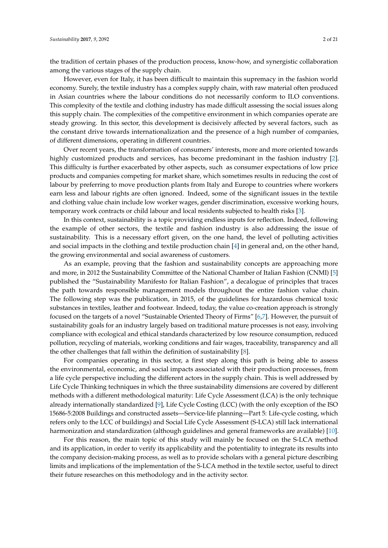the tradition of certain phases of the production process, know-how, and synergistic collaboration among the various stages of the supply chain.

However, even for Italy, it has been difficult to maintain this supremacy in the fashion world economy. Surely, the textile industry has a complex supply chain, with raw material often produced in Asian countries where the labour conditions do not necessarily conform to ILO conventions. This complexity of the textile and clothing industry has made difficult assessing the social issues along this supply chain. The complexities of the competitive environment in which companies operate are steady growing. In this sector, this development is decisively affected by several factors, such as the constant drive towards internationalization and the presence of a high number of companies, of different dimensions, operating in different countries.

Over recent years, the transformation of consumers' interests, more and more oriented towards highly customized products and services, has become predominant in the fashion industry [\[2\]](#page-18-1). This difficulty is further exacerbated by other aspects, such as consumer expectations of low price products and companies competing for market share, which sometimes results in reducing the cost of labour by preferring to move production plants from Italy and Europe to countries where workers earn less and labour rights are often ignored. Indeed, some of the significant issues in the textile and clothing value chain include low worker wages, gender discrimination, excessive working hours, temporary work contracts or child labour and local residents subjected to health risks [\[3\]](#page-18-2).

In this context, sustainability is a topic providing endless inputs for reflection. Indeed, following the example of other sectors, the textile and fashion industry is also addressing the issue of sustainability. This is a necessary effort given, on the one hand, the level of polluting activities and social impacts in the clothing and textile production chain [\[4\]](#page-18-3) in general and, on the other hand, the growing environmental and social awareness of customers.

As an example, proving that the fashion and sustainability concepts are approaching more and more, in 2012 the Sustainability Committee of the National Chamber of Italian Fashion (CNMI) [\[5\]](#page-18-4) published the "Sustainability Manifesto for Italian Fashion", a decalogue of principles that traces the path towards responsible management models throughout the entire fashion value chain. The following step was the publication, in 2015, of the guidelines for hazardous chemical toxic substances in textiles, leather and footwear. Indeed, today, the value co-creation approach is strongly focused on the targets of a novel "Sustainable Oriented Theory of Firms" [\[6,](#page-18-5)[7\]](#page-18-6). However, the pursuit of sustainability goals for an industry largely based on traditional mature processes is not easy, involving compliance with ecological and ethical standards characterized by low resource consumption, reduced pollution, recycling of materials, working conditions and fair wages, traceability, transparency and all the other challenges that fall within the definition of sustainability [\[8\]](#page-18-7).

For companies operating in this sector, a first step along this path is being able to assess the environmental, economic, and social impacts associated with their production processes, from a life cycle perspective including the different actors in the supply chain. This is well addressed by Life Cycle Thinking techniques in which the three sustainability dimensions are covered by different methods with a different methodological maturity: Life Cycle Assessment (LCA) is the only technique already internationally standardized [\[9\]](#page-18-8), Life Cycle Costing (LCC) (with the only exception of the ISO 15686-5:2008 Buildings and constructed assets—Service-life planning—Part 5: Life-cycle costing, which refers only to the LCC of buildings) and Social Life Cycle Assessment (S-LCA) still lack international harmonization and standardization (although guidelines and general frameworks are available) [\[10\]](#page-18-9).

For this reason, the main topic of this study will mainly be focused on the S-LCA method and its application, in order to verify its applicability and the potentiality to integrate its results into the company decision-making process, as well as to provide scholars with a general picture describing limits and implications of the implementation of the S-LCA method in the textile sector, useful to direct their future researches on this methodology and in the activity sector.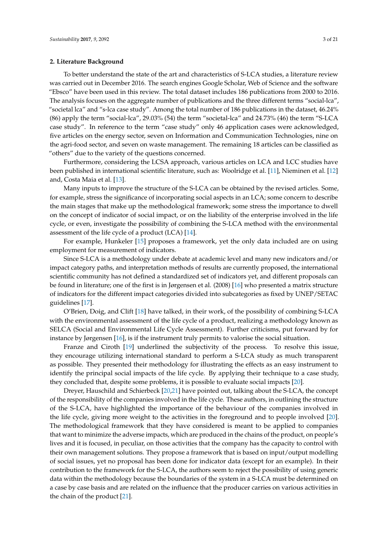## **2. Literature Background**

To better understand the state of the art and characteristics of S-LCA studies, a literature review was carried out in December 2016. The search engines Google Scholar, Web of Science and the software "Ebsco" have been used in this review. The total dataset includes 186 publications from 2000 to 2016. The analysis focuses on the aggregate number of publications and the three different terms "social-lca", "societal lca" and "s-lca case study". Among the total number of 186 publications in the dataset, 46.24% (86) apply the term "social-lca", 29.03% (54) the term "societal-lca" and 24.73% (46) the term "S-LCA case study". In reference to the term "case study" only 46 application cases were acknowledged, five articles on the energy sector, seven on Information and Communication Technologies, nine on the agri-food sector, and seven on waste management. The remaining 18 articles can be classified as "others" due to the variety of the questions concerned.

Furthermore, considering the LCSA approach, various articles on LCA and LCC studies have been published in international scientific literature, such as: Woolridge et al. [\[11\]](#page-18-10), Nieminen et al. [\[12\]](#page-18-11) and, Costa Maia et al. [\[13\]](#page-18-12).

Many inputs to improve the structure of the S-LCA can be obtained by the revised articles. Some, for example, stress the significance of incorporating social aspects in an LCA; some concern to describe the main stages that make up the methodological framework; some stress the importance to dwell on the concept of indicator of social impact, or on the liability of the enterprise involved in the life cycle, or even, investigate the possibility of combining the S-LCA method with the environmental assessment of the life cycle of a product (LCA) [\[14\]](#page-18-13).

For example, Hunkeler [\[15\]](#page-18-14) proposes a framework, yet the only data included are on using employment for measurement of indicators.

Since S-LCA is a methodology under debate at academic level and many new indicators and/or impact category paths, and interpretation methods of results are currently proposed, the international scientific community has not defined a standardized set of indicators yet, and different proposals can be found in literature; one of the first is in Jørgensen et al. (2008) [\[16\]](#page-18-15) who presented a matrix structure of indicators for the different impact categories divided into subcategories as fixed by UNEP/SETAC guidelines [\[17\]](#page-18-16).

O'Brien, Doig, and Clift [\[18\]](#page-18-17) have talked, in their work, of the possibility of combining S-LCA with the environmental assessment of the life cycle of a product, realizing a methodology known as SELCA (Social and Environmental Life Cycle Assessment). Further criticisms, put forward by for instance by Jørgensen [\[16\]](#page-18-15), is if the instrument truly permits to valorise the social situation.

Franze and Ciroth [\[19\]](#page-18-18) underlined the subjectivity of the process. To resolve this issue, they encourage utilizing international standard to perform a S-LCA study as much transparent as possible. They presented their methodology for illustrating the effects as an easy instrument to identify the principal social impacts of the life cycle. By applying their technique to a case study, they concluded that, despite some problems, it is possible to evaluate social impacts [\[20\]](#page-18-19).

Dreyer, Hauschild and Schierbeck [\[20,](#page-18-19)[21\]](#page-18-20) have pointed out, talking about the S-LCA, the concept of the responsibility of the companies involved in the life cycle. These authors, in outlining the structure of the S-LCA, have highlighted the importance of the behaviour of the companies involved in the life cycle, giving more weight to the activities in the foreground and to people involved [\[20\]](#page-18-19). The methodological framework that they have considered is meant to be applied to companies that want to minimize the adverse impacts, which are produced in the chains of the product, on people's lives and it is focused, in peculiar, on those activities that the company has the capacity to control with their own management solutions. They propose a framework that is based on input/output modelling of social issues, yet no proposal has been done for indicator data (except for an example). In their contribution to the framework for the S-LCA, the authors seem to reject the possibility of using generic data within the methodology because the boundaries of the system in a S-LCA must be determined on a case by case basis and are related on the influence that the producer carries on various activities in the chain of the product [\[21\]](#page-18-20).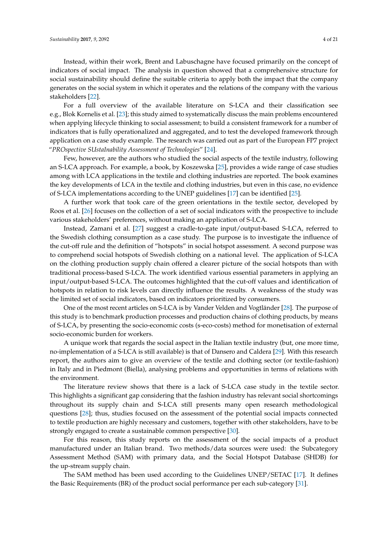Instead, within their work, Brent and Labuschagne have focused primarily on the concept of indicators of social impact. The analysis in question showed that a comprehensive structure for social sustainability should define the suitable criteria to apply both the impact that the company generates on the social system in which it operates and the relations of the company with the various stakeholders [\[22\]](#page-18-21).

For a full overview of the available literature on S-LCA and their classification see e.g., Blok Kornelis et al. [\[23\]](#page-18-22); this study aimed to systematically discuss the main problems encountered when applying lifecycle thinking to social assessment; to build a consistent framework for a number of indicators that is fully operationalized and aggregated, and to test the developed framework through application on a case study example. The research was carried out as part of the European FP7 project "*PROspective SUstaInability Assessment of Technologies*" [\[24\]](#page-18-23).

Few, however, are the authors who studied the social aspects of the textile industry, following an S-LCA approach. For example, a book, by Koszewska [\[25\]](#page-19-0), provides a wide range of case studies among with LCA applications in the textile and clothing industries are reported. The book examines the key developments of LCA in the textile and clothing industries, but even in this case, no evidence of S-LCA implementations according to the UNEP guidelines [\[17\]](#page-18-16) can be identified [\[25\]](#page-19-0).

A further work that took care of the green orientations in the textile sector, developed by Roos et al. [\[26\]](#page-19-1) focuses on the collection of a set of social indicators with the prospective to include various stakeholders' preferences, without making an application of S-LCA.

Instead, Zamani et al. [\[27\]](#page-19-2) suggest a cradle-to-gate input/output-based S-LCA, referred to the Swedish clothing consumption as a case study. The purpose is to investigate the influence of the cut-off rule and the definition of "hotspots" in social hotspot assessment. A second purpose was to comprehend social hotspots of Swedish clothing on a national level. The application of S-LCA on the clothing production supply chain offered a clearer picture of the social hotspots than with traditional process-based S-LCA. The work identified various essential parameters in applying an input/output-based S-LCA. The outcomes highlighted that the cut-off values and identification of hotspots in relation to risk levels can directly influence the results. A weakness of the study was the limited set of social indicators, based on indicators prioritized by consumers.

One of the most recent articles on S-LCA is by Vander Velden and Vogtländer [\[28\]](#page-19-3). The purpose of this study is to benchmark production processes and production chains of clothing products, by means of S-LCA, by presenting the socio-economic costs (s-eco-costs) method for monetisation of external socio-economic burden for workers.

A unique work that regards the social aspect in the Italian textile industry (but, one more time, no-implementation of a S-LCA is still available) is that of Dansero and Caldera [\[29\]](#page-19-4). With this research report, the authors aim to give an overview of the textile and clothing sector (or textile-fashion) in Italy and in Piedmont (Biella), analysing problems and opportunities in terms of relations with the environment.

The literature review shows that there is a lack of S-LCA case study in the textile sector. This highlights a significant gap considering that the fashion industry has relevant social shortcomings throughout its supply chain and S-LCA still presents many open research methodological questions [\[28\]](#page-19-3); thus, studies focused on the assessment of the potential social impacts connected to textile production are highly necessary and customers, together with other stakeholders, have to be strongly engaged to create a sustainable common perspective [\[30\]](#page-19-5).

For this reason, this study reports on the assessment of the social impacts of a product manufactured under an Italian brand. Two methods/data sources were used: the Subcategory Assessment Method (SAM) with primary data, and the Social Hotspot Database (SHDB) for the up-stream supply chain.

The SAM method has been used according to the Guidelines UNEP/SETAC [\[17\]](#page-18-16). It defines the Basic Requirements (BR) of the product social performance per each sub-category [\[31\]](#page-19-6).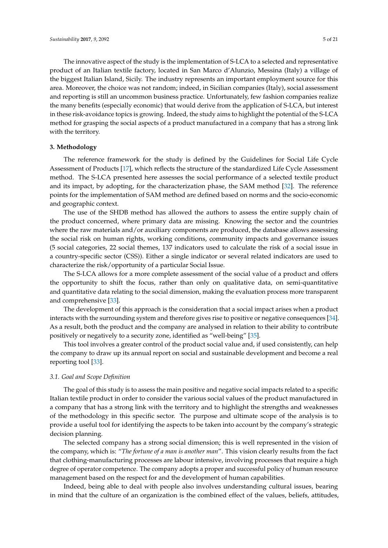The innovative aspect of the study is the implementation of S-LCA to a selected and representative product of an Italian textile factory, located in San Marco d'Alunzio, Messina (Italy) a village of the biggest Italian Island, Sicily. The industry represents an important employment source for this area. Moreover, the choice was not random; indeed, in Sicilian companies (Italy), social assessment and reporting is still an uncommon business practice. Unfortunately, few fashion companies realize the many benefits (especially economic) that would derive from the application of S-LCA, but interest in these risk-avoidance topics is growing. Indeed, the study aims to highlight the potential of the S-LCA method for grasping the social aspects of a product manufactured in a company that has a strong link with the territory.

## **3. Methodology**

The reference framework for the study is defined by the Guidelines for Social Life Cycle Assessment of Products [\[17\]](#page-18-16), which reflects the structure of the standardized Life Cycle Assessment method. The S-LCA presented here assesses the social performance of a selected textile product and its impact, by adopting, for the characterization phase, the SAM method [\[32\]](#page-19-7). The reference points for the implementation of SAM method are defined based on norms and the socio-economic and geographic context.

The use of the SHDB method has allowed the authors to assess the entire supply chain of the product concerned, where primary data are missing. Knowing the sector and the countries where the raw materials and/or auxiliary components are produced, the database allows assessing the social risk on human rights, working conditions, community impacts and governance issues (5 social categories, 22 social themes, 137 indicators used to calculate the risk of a social issue in a country-specific sector (CSS)). Either a single indicator or several related indicators are used to characterize the risk/opportunity of a particular Social Issue.

The S-LCA allows for a more complete assessment of the social value of a product and offers the opportunity to shift the focus, rather than only on qualitative data, on semi-quantitative and quantitative data relating to the social dimension, making the evaluation process more transparent and comprehensive [\[33\]](#page-19-8).

The development of this approach is the consideration that a social impact arises when a product interacts with the surrounding system and therefore gives rise to positive or negative consequences [\[34\]](#page-19-9). As a result, both the product and the company are analysed in relation to their ability to contribute positively or negatively to a security zone, identified as "well-being" [\[35\]](#page-19-10).

This tool involves a greater control of the product social value and, if used consistently, can help the company to draw up its annual report on social and sustainable development and become a real reporting tool [\[33\]](#page-19-8).

#### *3.1. Goal and Scope Definition*

The goal of this study is to assess the main positive and negative social impacts related to a specific Italian textile product in order to consider the various social values of the product manufactured in a company that has a strong link with the territory and to highlight the strengths and weaknesses of the methodology in this specific sector. The purpose and ultimate scope of the analysis is to provide a useful tool for identifying the aspects to be taken into account by the company's strategic decision planning.

The selected company has a strong social dimension; this is well represented in the vision of the company, which is: "*The fortune of a man is another man*". This vision clearly results from the fact that clothing-manufacturing processes are labour intensive, involving processes that require a high degree of operator competence. The company adopts a proper and successful policy of human resource management based on the respect for and the development of human capabilities.

Indeed, being able to deal with people also involves understanding cultural issues, bearing in mind that the culture of an organization is the combined effect of the values, beliefs, attitudes,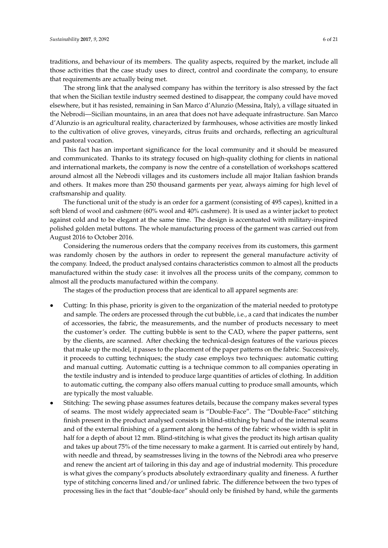traditions, and behaviour of its members. The quality aspects, required by the market, include all those activities that the case study uses to direct, control and coordinate the company, to ensure that requirements are actually being met.

The strong link that the analysed company has within the territory is also stressed by the fact that when the Sicilian textile industry seemed destined to disappear, the company could have moved elsewhere, but it has resisted, remaining in San Marco d'Alunzio (Messina, Italy), a village situated in the Nebrodi—Sicilian mountains, in an area that does not have adequate infrastructure. San Marco d'Alunzio is an agricultural reality, characterized by farmhouses, whose activities are mostly linked to the cultivation of olive groves, vineyards, citrus fruits and orchards, reflecting an agricultural and pastoral vocation.

This fact has an important significance for the local community and it should be measured and communicated. Thanks to its strategy focused on high-quality clothing for clients in national and international markets, the company is now the centre of a constellation of workshops scattered around almost all the Nebrodi villages and its customers include all major Italian fashion brands and others. It makes more than 250 thousand garments per year, always aiming for high level of craftsmanship and quality.

The functional unit of the study is an order for a garment (consisting of 495 capes), knitted in a soft blend of wool and cashmere (60% wool and 40% cashmere). It is used as a winter jacket to protect against cold and to be elegant at the same time. The design is accentuated with military-inspired polished golden metal buttons. The whole manufacturing process of the garment was carried out from August 2016 to October 2016.

Considering the numerous orders that the company receives from its customers, this garment was randomly chosen by the authors in order to represent the general manufacture activity of the company. Indeed, the product analysed contains characteristics common to almost all the products manufactured within the study case: it involves all the process units of the company, common to almost all the products manufactured within the company.

The stages of the production process that are identical to all apparel segments are:

- Cutting: In this phase, priority is given to the organization of the material needed to prototype and sample. The orders are processed through the cut bubble, i.e., a card that indicates the number of accessories, the fabric, the measurements, and the number of products necessary to meet the customer's order. The cutting bubble is sent to the CAD, where the paper patterns, sent by the clients, are scanned. After checking the technical-design features of the various pieces that make up the model, it passes to the placement of the paper patterns on the fabric. Successively, it proceeds to cutting techniques; the study case employs two techniques: automatic cutting and manual cutting. Automatic cutting is a technique common to all companies operating in the textile industry and is intended to produce large quantities of articles of clothing. In addition to automatic cutting, the company also offers manual cutting to produce small amounts, which are typically the most valuable.
- Stitching: The sewing phase assumes features details, because the company makes several types of seams. The most widely appreciated seam is "Double-Face". The "Double-Face" stitching finish present in the product analysed consists in blind-stitching by hand of the internal seams and of the external finishing of a garment along the hems of the fabric whose width is split in half for a depth of about 12 mm. Blind-stitching is what gives the product its high artisan quality and takes up about 75% of the time necessary to make a garment. It is carried out entirely by hand, with needle and thread, by seamstresses living in the towns of the Nebrodi area who preserve and renew the ancient art of tailoring in this day and age of industrial modernity. This procedure is what gives the company's products absolutely extraordinary quality and fineness. A further type of stitching concerns lined and/or unlined fabric. The difference between the two types of processing lies in the fact that "double-face" should only be finished by hand, while the garments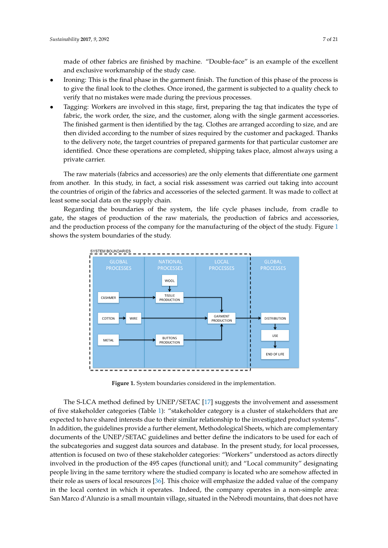made of other fabrics are finished by machine. "Double-face" is an example of the excellent and exclusive workmanship of the study case.

- Ironing: This is the final phase in the garment finish. The function of this phase of the process is to give the final look to the clothes. Once ironed, the garment is subjected to a quality check to verify that no mistakes were made during the previous processes.
- Tagging: Workers are involved in this stage, first, preparing the tag that indicates the type of fabric, the work order, the size, and the customer, along with the single garment accessories. The finished garment is then identified by the tag. Clothes are arranged according to size, and are then divided according to the number of sizes required by the customer and packaged. Thanks to the delivery note, the target countries of prepared garments for that particular customer are identified. Once these operations are completed, shipping takes place, almost always using a identified. Once these operations are completed, shipping takes place, almost always using a private carrier. private carrier.

The raw materials (fabrics and accessories) are the only elements that differentiate one garment The raw materials (fabrics and accessories) are the only elements that differentiate one garment from another. In this study, in fact, a social risk assessment was carried out taking into account the countries of origin of the fabrics and accessories of the selected garment. It was made to collect at least some social data on the supply chain. least some social data on the supply chain.

Regarding the boundaries of the system, the life cycle phases include, from cradle to gate, the stages of production of the raw materials, the production of fabrics and accessories, and the production process of the company for the manufacturing of the object of the study. Figure  $1$ shows the system boundaries of the study.

<span id="page-6-0"></span>

**Figure 1.** System boundaries considered in the implementation. **Figure 1.** System boundaries considered in the implementation.

The S-LCA method defined by UNEP/SETAC [\[17\]](#page-18-16) suggests the involvement and assessment five stakeholder categories (Table 1): "stakeholder category is a cluster of stakeholders that are of five stakeholder categories (Table [1\)](#page-7-0): "stakeholder category is a cluster of stakeholders that are expected to have shared interests due to their similar relationship to the investigated product expected to have shared interests due to their similar relationship to the investigated product systems". In addition, the guidelines provide a further element, Methodological Sheets, which are complementary documents of the UNEP/SETAC guidelines and better define the indicators to be used for each of the subcategories and suggest data sources and database. In the present study, for local processes, attention is focused on two of these stakeholder categories: "Workers" understood as actors directly involved in the production of the 495 capes (functional unit); and "Local community" designating people living in the same territory where the studied company is located who are somehow affected in their role as users of local resources [\[36\]](#page-19-11). This choice will emphasize the added value of the company in the local context in which it operates. Indeed, the company operates in a non-simple area: San Marco d'Alunzio is a small mountain village, situated in the Nebrodi mountains, that does not have  $\frac{1}{\sigma}$  , that does not have the necessary infrastructure to host a business complex and it is is is infrastructure to host and it is in it is in it is in it is in it is in it is in it is in it is in it is in it is in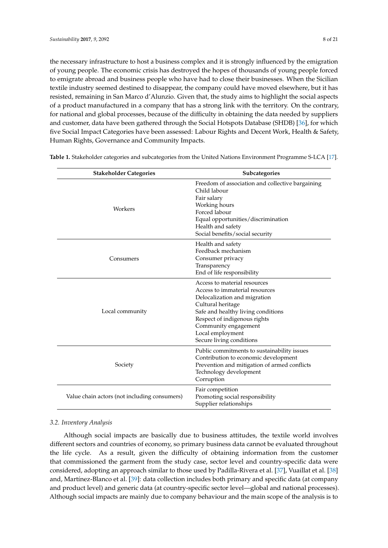the necessary infrastructure to host a business complex and it is strongly influenced by the emigration of young people. The economic crisis has destroyed the hopes of thousands of young people forced to emigrate abroad and business people who have had to close their businesses. When the Sicilian textile industry seemed destined to disappear, the company could have moved elsewhere, but it has resisted, remaining in San Marco d'Alunzio. Given that, the study aims to highlight the social aspects of a product manufactured in a company that has a strong link with the territory. On the contrary, for national and global processes, because of the difficulty in obtaining the data needed by suppliers and customer, data have been gathered through the Social Hotspots Database (SHDB) [\[36\]](#page-19-11), for which five Social Impact Categories have been assessed: Labour Rights and Decent Work, Health & Safety, Human Rights, Governance and Community Impacts.

| <b>Stakeholder Categories</b>                | Subcategories                                                                                                                                                                                                                                                     |  |  |
|----------------------------------------------|-------------------------------------------------------------------------------------------------------------------------------------------------------------------------------------------------------------------------------------------------------------------|--|--|
| Workers                                      | Freedom of association and collective bargaining<br>Child labour<br>Fair salary<br>Working hours<br>Forced labour<br>Equal opportunities/discrimination<br>Health and safety<br>Social benefits/social security                                                   |  |  |
| Consumers                                    | Health and safety<br>Feedback mechanism<br>Consumer privacy<br>Transparency<br>End of life responsibility                                                                                                                                                         |  |  |
| Local community                              | Access to material resources<br>Access to immaterial resources<br>Delocalization and migration<br>Cultural heritage<br>Safe and healthy living conditions<br>Respect of indigenous rights<br>Community engagement<br>Local employment<br>Secure living conditions |  |  |
| Society                                      | Public commitments to sustainability issues<br>Contribution to economic development<br>Prevention and mitigation of armed conflicts<br>Technology development<br>Corruption                                                                                       |  |  |
| Value chain actors (not including consumers) | Fair competition<br>Promoting social responsibility<br>Supplier relationships                                                                                                                                                                                     |  |  |

<span id="page-7-0"></span>**Table 1.** Stakeholder categories and subcategories from the United Nations Environment Programme S-LCA [\[17\]](#page-18-16).

## *3.2. Inventory Analysis*

Although social impacts are basically due to business attitudes, the textile world involves different sectors and countries of economy, so primary business data cannot be evaluated throughout the life cycle. As a result, given the difficulty of obtaining information from the customer that commissioned the garment from the study case, sector level and country-specific data were considered, adopting an approach similar to those used by Padilla-Rivera et al. [\[37\]](#page-19-12), Vuaillat et al. [\[38\]](#page-19-13) and, Martínez-Blanco et al. [\[39\]](#page-19-14): data collection includes both primary and specific data (at company and product level) and generic data (at country-specific sector level—global and national processes). Although social impacts are mainly due to company behaviour and the main scope of the analysis is to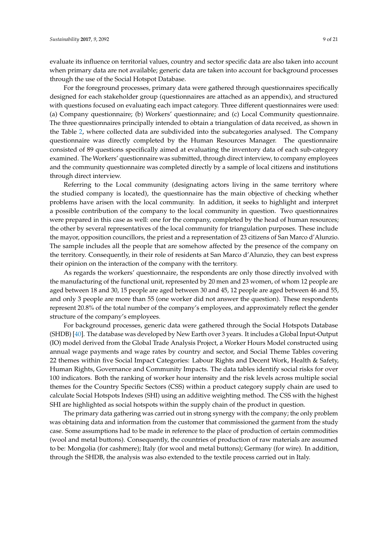evaluate its influence on territorial values, country and sector specific data are also taken into account when primary data are not available; generic data are taken into account for background processes through the use of the Social Hotspot Database.

For the foreground processes, primary data were gathered through questionnaires specifically designed for each stakeholder group (questionnaires are attached as an appendix), and structured with questions focused on evaluating each impact category. Three different questionnaires were used: (a) Company questionnaire; (b) Workers' questionnaire; and (c) Local Community questionnaire. The three questionnaires principally intended to obtain a triangulation of data received, as shown in the Table [2,](#page-10-0) where collected data are subdivided into the subcategories analysed. The Company questionnaire was directly completed by the Human Resources Manager. The questionnaire consisted of 89 questions specifically aimed at evaluating the inventory data of each sub-category examined. The Workers' questionnaire was submitted, through direct interview, to company employees and the community questionnaire was completed directly by a sample of local citizens and institutions through direct interview.

Referring to the Local community (designating actors living in the same territory where the studied company is located), the questionnaire has the main objective of checking whether problems have arisen with the local community. In addition, it seeks to highlight and interpret a possible contribution of the company to the local community in question. Two questionnaires were prepared in this case as well: one for the company, completed by the head of human resources; the other by several representatives of the local community for triangulation purposes. These include the mayor, opposition councillors, the priest and a representation of 23 citizens of San Marco d'Alunzio. The sample includes all the people that are somehow affected by the presence of the company on the territory. Consequently, in their role of residents at San Marco d'Alunzio, they can best express their opinion on the interaction of the company with the territory.

As regards the workers' questionnaire, the respondents are only those directly involved with the manufacturing of the functional unit, represented by 20 men and 23 women, of whom 12 people are aged between 18 and 30, 15 people are aged between 30 and 45, 12 people are aged between 46 and 55, and only 3 people are more than 55 (one worker did not answer the question). These respondents represent 20.8% of the total number of the company's employees, and approximately reflect the gender structure of the company's employees.

For background processes, generic data were gathered through the Social Hotspots Database (SHDB) [\[40\]](#page-19-15). The database was developed by New Earth over 3 years. It includes a Global Input-Output (IO) model derived from the Global Trade Analysis Project, a Worker Hours Model constructed using annual wage payments and wage rates by country and sector, and Social Theme Tables covering 22 themes within five Social Impact Categories: Labour Rights and Decent Work, Health & Safety, Human Rights, Governance and Community Impacts. The data tables identify social risks for over 100 indicators. Both the ranking of worker hour intensity and the risk levels across multiple social themes for the Country Specific Sectors (CSS) within a product category supply chain are used to calculate Social Hotspots Indexes (SHI) using an additive weighting method. The CSS with the highest SHI are highlighted as social hotspots within the supply chain of the product in question.

The primary data gathering was carried out in strong synergy with the company; the only problem was obtaining data and information from the customer that commissioned the garment from the study case. Some assumptions had to be made in reference to the place of production of certain commodities (wool and metal buttons). Consequently, the countries of production of raw materials are assumed to be: Mongolia (for cashmere); Italy (for wool and metal buttons); Germany (for wire). In addition, through the SHDB, the analysis was also extended to the textile process carried out in Italy.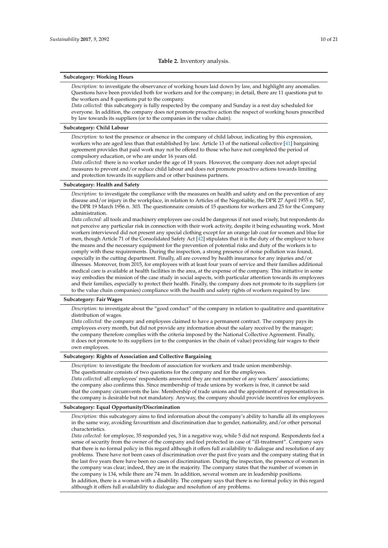#### **Subcategory: Working Hours**

*Description:* to investigate the observance of working hours laid down by law, and highlight any anomalies. Questions have been provided both for workers and for the company; in detail, there are 11 questions put to the workers and 8 questions put to the company.

*Data collected:* this subcategory is fully respected by the company and Sunday is a rest day scheduled for everyone. In addition, the company does not promote proactive action the respect of working hours prescribed by law towards its suppliers (or to the companies in the value chain).

## **Subcategory: Child Labour**

*Description:* to test the presence or absence in the company of child labour, indicating by this expression, workers who are aged less than that established by law. Article 13 of the national collective [\[41\]](#page-19-16) bargaining agreement provides that paid work may not be offered to those who have not completed the period of compulsory education, or who are under 16 years old.

*Data collected:* there is no worker under the age of 18 years. However, the company does not adopt special measures to prevent and/or reduce child labour and does not promote proactive actions towards limiting and protection towards its suppliers and or other business partners.

#### **Subcategory: Health and Safety**

*Description:* to investigate the compliance with the measures on health and safety and on the prevention of any disease and/or injury in the workplace, in relation to Articles of the Negotiable, the DPR 27 April 1955 n. 547, the DPR 19 March 1956 n. 303. The questionnaire consists of 15 questions for workers and 25 for the Company administration.

*Data collected:* all tools and machinery employees use could be dangerous if not used wisely, but respondents do not perceive any particular risk in connection with their work activity, despite it being exhausting work. Most workers interviewed did not present any special clothing except for an orange lab coat for women and blue for men, though Article 71 of the Consolidated Safety Act [\[42\]](#page-19-17) stipulates that it is the duty of the employer to have the means and the necessary equipment for the prevention of potential risks and duty of the workers is to comply with these requirements. During the inspection, a strong presence of noise pollution was found, especially in the cutting department. Finally, all are covered by health insurance for any injuries and/or illnesses. Moreover, from 2015, for employees with at least four years of service and their families additional medical care is available at health facilities in the area, at the expense of the company. This initiative in some way embodies the mission of the case study in social aspects, with particular attention towards its employees and their families, especially to protect their health. Finally, the company does not promote to its suppliers (or to the value chain companies) compliance with the health and safety rights of workers required by law.

#### **Subcategory: Fair Wages**

*Description:* to investigate about the "good conduct" of the company in relation to qualitative and quantitative distribution of wages.

*Data collected:* the company and employees claimed to have a permanent contract. The company pays its employees every month, but did not provide any information about the salary received by the manager; the company therefore complies with the criteria imposed by the National Collective Agreement. Finally, it does not promote to its suppliers (or to the companies in the chain of value) providing fair wages to their own employees.

#### **Subcategory: Rights of Association and Collective Bargaining**

*Description:* to investigate the freedom of association for workers and trade union membership. The questionnaire consists of two questions for the company and for the employees. *Data collected:* all employees' respondents answered they are not member of any workers' associations;

the company also confirms this. Since membership of trade unions by workers is free, it cannot be said that the company circumvents the law. Membership of trade unions and the appointment of representatives in the company is desirable but not mandatory. Anyway, the company should provide incentives for employees.

#### **Subcategory: Equal Opportunity/Discrimination**

*Description:* this subcategory aims to find information about the company's ability to handle all its employees in the same way, avoiding favouritism and discrimination due to gender, nationality, and/or other personal characteristics.

*Data collected:* for employee, 35 responded yes, 3 in a negative way, while 5 did not respond. Respondents feel a sense of security from the owner of the company and feel protected in case of "ill-treatment". Company says that there is no formal policy in this regard although it offers full availability to dialogue and resolution of any problems. There have not been cases of discrimination over the past five years and the company stating that in the last five years there have been no cases of discrimination. During the inspection, the presence of women in the company was clear; indeed, they are in the majority. The company states that the number of women in the company is 134, while there are 74 men. In addition, several women are in leadership positions. In addition, there is a woman with a disability. The company says that there is no formal policy in this regard although it offers full availability to dialogue and resolution of any problems.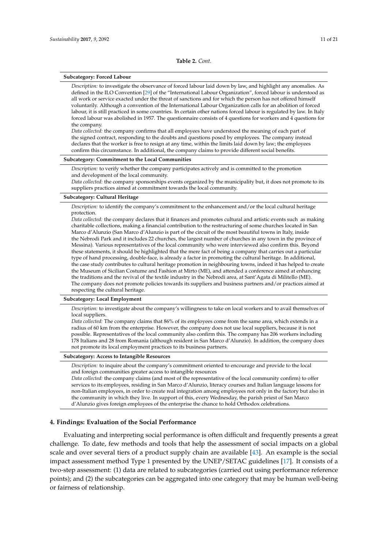#### <span id="page-10-0"></span>**Subcategory: Forced Labour**

*Description:* to investigate the observance of forced labour laid down by law, and highlight any anomalies. As defined in the ILO Convention [\[29\]](#page-19-4) of the "International Labour Organization", forced labour is understood as all work or service exacted under the threat of sanctions and for which the person has not offered himself voluntarily. Although a convention of the International Labour Organization calls for an abolition of forced labour, it is still practiced in some countries. In certain other nations forced labour is regulated by law. In Italy forced labour was abolished in 1957. The questionnaire consists of 4 questions for workers and 4 questions for the company.

*Data collected:* the company confirms that all employees have understood the meaning of each part of the signed contract, responding to the doubts and questions posed by employees. The company instead declares that the worker is free to resign at any time, within the limits laid down by law; the employees confirm this circumstance. In additional, the company claims to provide different social benefits.

## **Subcategory: Commitment to the Local Communities**

*Description:* to verify whether the company participates actively and is committed to the promotion and development of the local community.

*Data collected:* the company sponsorships events organized by the municipality but, it does not promote to its suppliers practices aimed at commitment towards the local community.

#### **Subcategory: Cultural Heritage**

*Description:* to identify the company's commitment to the enhancement and/or the local cultural heritage protection.

*Data collected:* the company declares that it finances and promotes cultural and artistic events such as making charitable collections, making a financial contribution to the restructuring of some churches located in San Marco d'Alunzio (San Marco d'Alunzio is part of the circuit of the most beautiful towns in Italy, inside the Nebrodi Park and it includes 22 churches, the largest number of churches in any town in the province of Messina). Various representatives of the local community who were interviewed also confirm this. Beyond these statements, it should be highlighted that the mere fact of being a company that carries out a particular type of hand processing, double-face, is already a factor in promoting the cultural heritage. In additional, the case study contributes to cultural heritage promotion in neighbouring towns, indeed it has helped to create the Museum of Sicilian Costume and Fashion at Mirto (ME), and attended a conference aimed at enhancing the traditions and the revival of the textile industry in the Nebrodi area, at Sant'Agata di Militello (ME). The company does not promote policies towards its suppliers and business partners and/or practices aimed at respecting the cultural heritage.

#### **Subcategory: Local Employment**

*Description:* to investigate about the company's willingness to take on local workers and to avail themselves of local suppliers.

*Data collected:* The company claims that 86% of its employees come from the same area, which extends in a radius of 60 km from the enterprise. However, the company does not use local suppliers, because it is not possible. Representatives of the local community also confirm this. The company has 206 workers including 178 Italians and 28 from Romania (although resident in San Marco d'Alunzio). In addition, the company does not promote its local employment practices to its business partners.

#### **Subcategory: Access to Intangible Resources**

*Description:* to inquire about the company's commitment oriented to encourage and provide to the local and foreign communities greater access to intangible resources

*Data collected:* the company claims (and most of the representative of the local community confirm) to offer services to its employees, residing in San Marco d'Alunzio, literacy courses and Italian language lessons for non-Italian employees, in order to create real integration among employees not only in the factory but also in the community in which they live. In support of this, every Wednesday, the parish priest of San Marco d'Alunzio gives foreign employees of the enterprise the chance to hold Orthodox celebrations.

## **4. Findings: Evaluation of the Social Performance**

Evaluating and interpreting social performance is often difficult and frequently presents a great challenge. To date, few methods and tools that help the assessment of social impacts on a global scale and over several tiers of a product supply chain are available [\[43\]](#page-19-18). An example is the social impact assessment method Type 1 presented by the UNEP/SETAC guidelines [\[17\]](#page-18-16). It consists of a two-step assessment: (1) data are related to subcategories (carried out using performance reference points); and (2) the subcategories can be aggregated into one category that may be human well-being or fairness of relationship.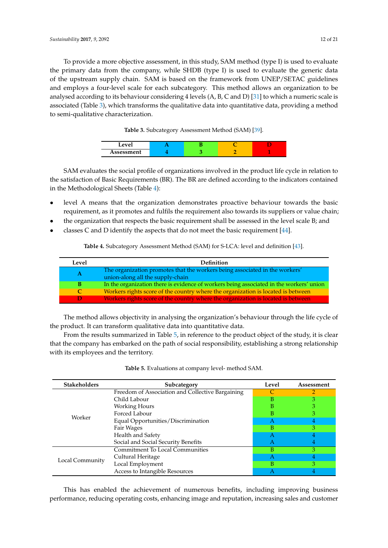To provide a more objective assessment, in this study, SAM method (type I) is used to evaluate the primary data from the company, while SHDB (type I) is used to evaluate the generic data of the upstream supply chain. SAM is based on the framework from UNEP/SETAC guidelines and employs a four-level scale for each subcategory. This method allows an organization to be analysed according to its behaviour considering 4 levels (A, B, C and D) [\[31\]](#page-19-6) to which a numeric scale is associated (Table [3\)](#page-11-0), which transforms the qualitative data into quantitative data, providing a method to semi-qualitative characterization.

**Table 3.** Subcategory Assessment Method (SAM) [\[39\]](#page-19-14).

| $\mathbf{a}$ |  |  |
|--------------|--|--|
| Assessment   |  |  |

<span id="page-11-0"></span>SAM evaluates the social profile of organizations involved in the product life cycle in relation to the satisfaction of Basic Requirements (BR). The BR are defined according to the indicators contained in the Methodological Sheets (Table [4\)](#page-11-1):

- level A means that the organization demonstrates proactive behaviour towards the basic requirement, as it promotes and fulfils the requirement also towards its suppliers or value chain;
- the organization that respects the basic requirement shall be assessed in the level scale B; and
- <span id="page-11-1"></span>classes C and D identify the aspects that do not meet the basic requirement  $[44]$ .

**Table 4.** Subcategory Assessment Method (SAM) for S-LCA: level and definition [\[43\]](#page-19-18).

| Level | <b>Definition</b>                                                                                               |
|-------|-----------------------------------------------------------------------------------------------------------------|
|       | The organization promotes that the workers being associated in the workers'<br>union-along all the supply-chain |
|       | In the organization there is evidence of workers being associated in the workers' union                         |
|       | Workers rights score of the country where the organization is located is between                                |
|       | Workers rights score of the country where the organization is located is between                                |

The method allows objectivity in analysing the organization's behaviour through the life cycle of the product. It can transform qualitative data into quantitative data.

From the results summarized in Table [5,](#page-11-2) in reference to the product object of the study, it is clear that the company has embarked on the path of social responsibility, establishing a strong relationship with its employees and the territory.

<span id="page-11-2"></span>

| <b>Stakeholders</b><br>Subcategory |                                                  | Level        | Assessment |
|------------------------------------|--------------------------------------------------|--------------|------------|
|                                    | Freedom of Association and Collective Bargaining |              |            |
|                                    | Child Labour                                     | В            |            |
|                                    | Working Hours                                    | В            |            |
|                                    | Forced Labour                                    | в            |            |
| Worker                             | Equal Opportunities/Discrimination               | $\mathsf{A}$ |            |
|                                    | Fair Wages                                       | В            |            |
|                                    | Health and Safety                                |              |            |
|                                    | Social and Social Security Benefits              |              |            |
|                                    | <b>Commitment To Local Communities</b>           | в            |            |
| Local Community                    | Cultural Heritage                                | $\mathsf{A}$ | 4          |
|                                    | Local Employment                                 | B            |            |
|                                    | Access to Intangible Resources                   |              |            |

| Table 5. Evaluations at company level- method SAM. |  |
|----------------------------------------------------|--|
|----------------------------------------------------|--|

This has enabled the achievement of numerous benefits, including improving business performance, reducing operating costs, enhancing image and reputation, increasing sales and customer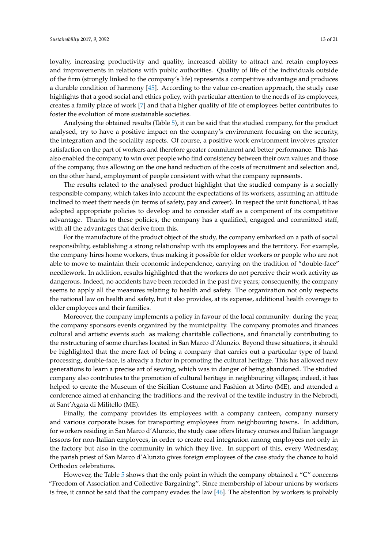loyalty, increasing productivity and quality, increased ability to attract and retain employees and improvements in relations with public authorities. Quality of life of the individuals outside of the firm (strongly linked to the company's life) represents a competitive advantage and produces a durable condition of harmony [\[45\]](#page-19-20). According to the value co-creation approach, the study case highlights that a good social and ethics policy, with particular attention to the needs of its employees, creates a family place of work [\[7\]](#page-18-6) and that a higher quality of life of employees better contributes to foster the evolution of more sustainable societies.

Analysing the obtained results (Table [5\)](#page-11-2), it can be said that the studied company, for the product analysed, try to have a positive impact on the company's environment focusing on the security, the integration and the sociality aspects. Of course, a positive work environment involves greater satisfaction on the part of workers and therefore greater commitment and better performance. This has also enabled the company to win over people who find consistency between their own values and those of the company, thus allowing on the one hand reduction of the costs of recruitment and selection and, on the other hand, employment of people consistent with what the company represents.

The results related to the analysed product highlight that the studied company is a socially responsible company, which takes into account the expectations of its workers, assuming an attitude inclined to meet their needs (in terms of safety, pay and career). In respect the unit functional, it has adopted appropriate policies to develop and to consider staff as a component of its competitive advantage. Thanks to these policies, the company has a qualified, engaged and committed staff, with all the advantages that derive from this.

For the manufacture of the product object of the study, the company embarked on a path of social responsibility, establishing a strong relationship with its employees and the territory. For example, the company hires home workers, thus making it possible for older workers or people who are not able to move to maintain their economic independence, carrying on the tradition of "double-face" needlework. In addition, results highlighted that the workers do not perceive their work activity as dangerous. Indeed, no accidents have been recorded in the past five years; consequently, the company seems to apply all the measures relating to health and safety. The organization not only respects the national law on health and safety, but it also provides, at its expense, additional health coverage to older employees and their families.

Moreover, the company implements a policy in favour of the local community: during the year, the company sponsors events organized by the municipality. The company promotes and finances cultural and artistic events such as making charitable collections, and financially contributing to the restructuring of some churches located in San Marco d'Alunzio. Beyond these situations, it should be highlighted that the mere fact of being a company that carries out a particular type of hand processing, double-face, is already a factor in promoting the cultural heritage. This has allowed new generations to learn a precise art of sewing, which was in danger of being abandoned. The studied company also contributes to the promotion of cultural heritage in neighbouring villages; indeed, it has helped to create the Museum of the Sicilian Costume and Fashion at Mirto (ME), and attended a conference aimed at enhancing the traditions and the revival of the textile industry in the Nebrodi, at Sant'Agata di Militello (ME).

Finally, the company provides its employees with a company canteen, company nursery and various corporate buses for transporting employees from neighbouring towns. In addition, for workers residing in San Marco d'Alunzio, the study case offers literacy courses and Italian language lessons for non-Italian employees, in order to create real integration among employees not only in the factory but also in the community in which they live. In support of this, every Wednesday, the parish priest of San Marco d'Alunzio gives foreign employees of the case study the chance to hold Orthodox celebrations.

However, the Table [5](#page-11-2) shows that the only point in which the company obtained a "C" concerns "Freedom of Association and Collective Bargaining". Since membership of labour unions by workers is free, it cannot be said that the company evades the law [\[46\]](#page-19-21). The abstention by workers is probably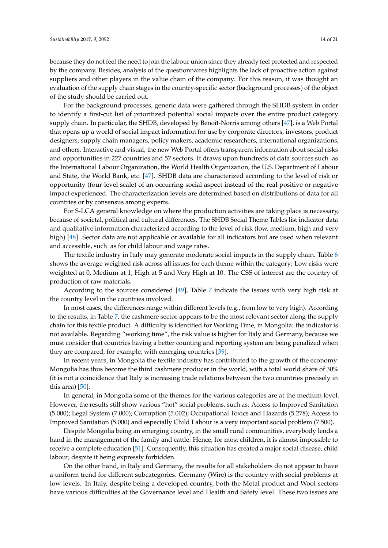because they do not feel the need to join the labour union since they already feel protected and respected by the company. Besides, analysis of the questionnaires highlights the lack of proactive action against suppliers and other players in the value chain of the company. For this reason, it was thought an evaluation of the supply chain stages in the country-specific sector (background processes) of the object of the study should be carried out.

For the background processes, generic data were gathered through the SHDB system in order to identify a first-cut list of prioritized potential social impacts over the entire product category supply chain. In particular, the SHDB, developed by Benoît-Norris among others [\[47\]](#page-20-0), is a Web Portal that opens up a world of social impact information for use by corporate directors, investors, product designers, supply chain managers, policy makers, academic researchers, international organizations, and others. Interactive and visual, the new Web Portal offers transparent information about social risks and opportunities in 227 countries and 57 sectors. It draws upon hundreds of data sources such as the International Labour Organization, the World Health Organization, the U.S. Department of Labour and State, the World Bank, etc. [\[47\]](#page-20-0). SHDB data are characterized according to the level of risk or opportunity (four-level scale) of an occurring social aspect instead of the real positive or negative impact experienced. The characterization levels are determined based on distributions of data for all countries or by consensus among experts.

For S-LCA general knowledge on where the production activities are taking place is necessary, because of societal, political and cultural differences. The SHDB Social Theme Tables list indicator data and qualitative information characterized according to the level of risk (low, medium, high and very high) [\[48\]](#page-20-1). Sector data are not applicable or available for all indicators but are used when relevant and accessible, such as for child labour and wage rates.

The textile industry in Italy may generate moderate social impacts in the supply chain. Table [6](#page-14-0) shows the average weighted risk across all issues for each theme within the category: Low risks were weighted at 0, Medium at 1, High at 5 and Very High at 10. The CSS of interest are the country of production of raw materials.

According to the sources considered [\[49\]](#page-20-2), Table [7](#page-15-0) indicate the issues with very high risk at the country level in the countries involved.

In most cases, the differences range within different levels (e.g., from low to very high). According to the results, in Table [7,](#page-15-0) the cashmere sector appears to be the most relevant sector along the supply chain for this textile product. A difficulty is identified for Working Time, in Mongolia: the indicator is not available. Regarding "working time", the risk value is higher for Italy and Germany, because we must consider that countries having a better counting and reporting system are being penalized when they are compared, for example, with emerging countries [\[39\]](#page-19-14).

In recent years, in Mongolia the textile industry has contributed to the growth of the economy: Mongolia has thus become the third cashmere producer in the world, with a total world share of 30% (it is not a coincidence that Italy is increasing trade relations between the two countries precisely in this area) [\[50\]](#page-20-3).

In general, in Mongolia some of the themes for the various categories are at the medium level. However, the results still show various "hot" social problems, such as: Access to Improved Sanitation (5.000); Legal System (7.000); Corruption (5.002); Occupational Toxics and Hazards (5.278); Access to Improved Sanitation (5.000) and especially Child Labour is a very important social problem (7.500).

Despite Mongolia being an emerging country, in the small rural communities, everybody lends a hand in the management of the family and cattle. Hence, for most children, it is almost impossible to receive a complete education [\[51\]](#page-20-4). Consequently, this situation has created a major social disease, child labour, despite it being expressly forbidden.

On the other hand, in Italy and Germany, the results for all stakeholders do not appear to have a uniform trend for different subcategories. Germany (Wire) is the country with social problems at low levels. In Italy, despite being a developed country, both the Metal product and Wool sectors have various difficulties at the Governance level and Health and Safety level. These two issues are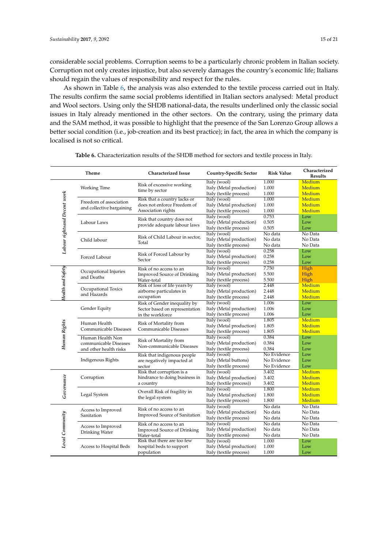considerable social problems. Corruption seems to be a particularly chronic problem in Italian society. Corruption not only creates injustice, but also severely damages the country's economic life; Italians should regain the values of responsibility and respect for the rules.

As shown in Table [6,](#page-14-0) the analysis was also extended to the textile process carried out in Italy. The results confirm the same social problems identified in Italian sectors analysed: Metal product and Wool sectors. Using only the SHDB national-data, the results underlined only the classic social issues in Italy already mentioned in the other sectors. On the contrary, using the primary data and the SAM method, it was possible to highlight that the presence of the San Lorenzo Group allows a better social condition (i.e., job-creation and its best practice); in fact, the area in which the company is localised is not so critical.

<span id="page-14-0"></span>

|                              | Theme                                                               | <b>Characterized Issue</b>                                                         | <b>Country-Specific Sector</b>                                       | <b>Risk Value</b>                         | Characterized<br><b>Results</b> |
|------------------------------|---------------------------------------------------------------------|------------------------------------------------------------------------------------|----------------------------------------------------------------------|-------------------------------------------|---------------------------------|
| Labour rightsand Decent work | Working Time                                                        | Risk of excessive working<br>time by sector                                        | Italy (wool)<br>Italy (Metal production)<br>Italy (textile process)  | 1.000<br>1.000<br>1.000                   | Medium<br>Medium<br>Medium      |
|                              | Freedom of association<br>and collective bargaining                 | Risk that a country lacks or<br>does not enforce Freedom of<br>Association rights  | Italy (wool)<br>Italy (Metal production)<br>Italy (textile process)  | 1.000<br>1.000<br>1.000                   | Medium<br>Medium<br>Medium      |
|                              | Labour Laws                                                         | Risk that country does not<br>provide adequate labour laws                         | Italy (wool)<br>Italy (Metal production)<br>Italy (textile process)  | 0.753<br>0.505<br>0.505                   | Low<br>Low<br>Low               |
|                              | Child labour                                                        | Risk of Child Labour in sector,<br>Total                                           | Italy (wool)<br>Italy (Metal production)<br>Italy (textile process)  | No data<br>No data<br>No data             | No Data<br>No Data<br>No Data   |
|                              | Forced Labour                                                       | Risk of Forced Labour by<br>Sector                                                 | Italy (wool)<br>Italy (Metal production)<br>Italy (textile process)  | 0.258<br>0.258<br>0.258                   | Low<br>Low<br>Low               |
| Health and Safety            | Occupational Injuries<br>and Deaths                                 | Risk of no access to an<br><b>Improved Source of Drinking</b><br>Water-total       | Italy (wool)<br>Italy (Metal production)<br>Italy (textile process)  | 7.750<br>5.500<br>5.500                   | High<br>High<br>High            |
|                              | Occupational Toxics<br>and Hazards                                  | Risk of loss of life years by<br>airborne particulates in<br>occupation            | Italy (wool)<br>Italy (Metal production)<br>Italy (textile process)  | 2.448<br>2.448<br>2.448                   | Medium<br>Medium<br>Medium      |
| Human Rights                 | Gender Equity                                                       | Risk of Gender inequality by<br>Sector based on representation<br>in the workforce | Italy (wool)<br>Italy (Metal production)<br>Italy (textile process)  | 1.006<br>1.006<br>1.006                   | Low<br>Low<br>Low               |
|                              | Human Health<br>Communicable Diseases                               | Risk of Mortality from<br>Communicable Diseases                                    | Italy (wool)<br>Italy (Metal production)<br>Italy (textile process)  | 1.805<br>1.805<br>1.805                   | Medium<br>Medium<br>Medium      |
|                              | Human Health Non<br>communicable Diseases<br>and other health risks | Risk of Mortality from<br>Non-communicable Diseases                                | Italy (wool)<br>Italy (Metal production)<br>Italy (textile process)  | 0.384<br>0.384<br>0.384                   | Low<br>Low<br>Low               |
|                              | Indigenous Rights                                                   | Risk that indigenous people<br>are negatively impacted at<br>sector                | Italy (wool)<br>Italy (Metal buttons)<br>Italy (textile process)     | No Evidence<br>No Evidence<br>No Evidence | Low<br>Low<br>Low               |
| Governance                   | Corruption                                                          | Risk that corruption is a<br>hindrance to doing business in<br>a country           | Italy (wool)<br>Italy (Metal production)<br>Italy (textile process)) | 3.402<br>3.402<br>3.402                   | Medium<br>Medium<br>Medium      |
|                              | Legal System                                                        | Overall Risk of fragility in<br>the legal system                                   | Italy (wool)<br>Italy (Metal production)<br>Italy (textile process)  | 1.800<br>1.800<br>1.800                   | Medium<br>Medium<br>Medium      |
| Local Community              | Access to Improved<br>Sanitation                                    | Risk of no access to an<br>Improved Source of Sanitation                           | Italy (wool)<br>Italy (Metal production)<br>Italy (textile process)  | No data<br>No data<br>No data             | No Data<br>No Data<br>No Data   |
|                              | Access to Improved<br>Drinking Water                                | Risk of no access to an<br><b>Improved Source of Drinking</b><br>Water-total       | Italy (wool)<br>Italy (Metal production)<br>Italy (textile process)  | No data<br>No data<br>No data             | No Data<br>No Data<br>No Data   |
|                              | Access to Hospital Beds                                             | Risk that there are too few<br>hospital beds to support<br>population              | Italy (wool)<br>Italy (Metal production)<br>Italy (textile process)  | 1.000<br>1.000<br>1.000                   | Low<br>Low<br>Low               |

**Table 6.** Characterization results of the SHDB method for sectors and textile process in Italy.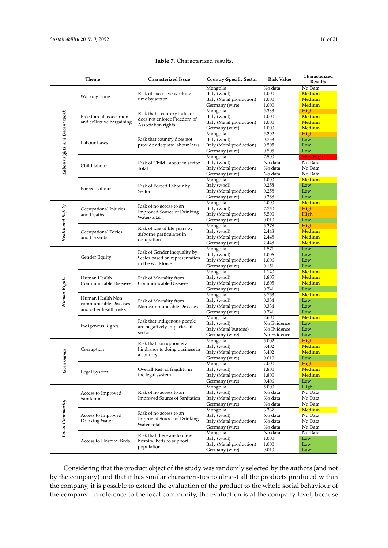## **Table 7.** Characterized results.

<span id="page-15-0"></span>

|                               | Theme                                           | <b>Characterized Issue</b>                                                                                                                            | <b>Country-Specific Sector</b>             | <b>Risk Value</b> | Characterized<br><b>Results</b> |
|-------------------------------|-------------------------------------------------|-------------------------------------------------------------------------------------------------------------------------------------------------------|--------------------------------------------|-------------------|---------------------------------|
|                               | Working Time                                    |                                                                                                                                                       | Mongolia                                   | No data           | No Data                         |
|                               |                                                 | Risk of excessive working                                                                                                                             | Italy (wool)                               | 1.000             | Medium                          |
|                               |                                                 | time by sector                                                                                                                                        | Italy (Metal production)                   | 1.000             | Medium                          |
|                               |                                                 |                                                                                                                                                       | Germany (wire)                             | 1.000             | Medium                          |
| Labour rights and Decent work |                                                 | Risk that a country lacks or                                                                                                                          | Mongolia<br>Italy (wool)                   | 5.333             | High<br>Medium                  |
|                               | Freedom of association                          | does not enforce Freedom of                                                                                                                           | Italy (Metal production)                   | 1.000<br>1.000    | Medium                          |
|                               | and collective bargaining                       | Association rights                                                                                                                                    | Germany (wire)                             | 1.000             | Medium                          |
|                               |                                                 |                                                                                                                                                       | Mongolia                                   | 5.202             | High                            |
|                               |                                                 | Risk that country does not                                                                                                                            | Italy (wool)                               | 0.753             | Low                             |
|                               | Labour Laws                                     | provide adequate labour laws                                                                                                                          | Italy (Metal production)                   | 0.505             | Low                             |
|                               |                                                 |                                                                                                                                                       | Germany (wire)                             | 0.505             | Low                             |
|                               |                                                 |                                                                                                                                                       | Mongolia                                   | 7.500             | <b>Very High</b>                |
|                               |                                                 | Risk of Child Labour in sector,                                                                                                                       | Italy (wool)                               | No data           | No Data                         |
|                               | Child labour                                    | Total                                                                                                                                                 | Italy (Metal production)                   | No data           | No Data                         |
|                               |                                                 |                                                                                                                                                       | Germany (wire)                             | No data           | No Data                         |
|                               |                                                 |                                                                                                                                                       | Mongolia                                   | 1.000             | Medium                          |
|                               |                                                 | Risk of Forced Labour by                                                                                                                              | Italy (wool)                               | 0.258             | Low                             |
|                               | Forced Labour                                   | Sector                                                                                                                                                | Italy (Metal production)                   | 0.258             | Low                             |
|                               |                                                 |                                                                                                                                                       | Germany (wire)                             | 0.258             | Low                             |
|                               |                                                 | Risk of no access to an                                                                                                                               | Mongolia                                   | 2.000             | Medium                          |
|                               | Occupational Injuries                           | <b>Improved Source of Drinking</b>                                                                                                                    | Italy (wool)                               | 7.750             | High                            |
|                               | and Deaths                                      | Water-total                                                                                                                                           | Italy (Metal production)                   | 5.500             | High                            |
|                               |                                                 |                                                                                                                                                       | Germany (wire)                             | 0.010             | Low                             |
| Health and Safety             |                                                 | Risk of loss of life years by                                                                                                                         | Mongolia                                   | 5.278             | High                            |
|                               | Occupational Toxics                             | airborne particulates in                                                                                                                              | Italy (wool)                               | 2.448             | Medium                          |
|                               | and Hazards                                     | occupation                                                                                                                                            | Italy (Metal production)                   | 2.448             | Medium                          |
|                               |                                                 |                                                                                                                                                       | Germany (wire)                             | 2.448             | Medium                          |
|                               |                                                 | Risk of Gender inequality by                                                                                                                          | Mongolia                                   | 1.571             | Low                             |
|                               | Gender Equity                                   | Sector based on representation                                                                                                                        | Italy (wool)                               | 1.006             | Low                             |
|                               |                                                 | in the workforce                                                                                                                                      | Italy (Metal production)<br>Germany (wire) | 1.006<br>0.151    | Low<br>Low                      |
|                               |                                                 |                                                                                                                                                       | Mongolia                                   | 1.140             | Medium                          |
|                               |                                                 |                                                                                                                                                       | Italy (wool)                               | 1.805             | Medium                          |
|                               | Human Health<br>Communicable Diseases           | Risk of Mortality from<br>Communicable Diseases                                                                                                       | Italy (Metal production)                   | 1.805             | Medium                          |
|                               |                                                 |                                                                                                                                                       | Germany (wire)                             | 0.741             | Low                             |
| Human Rights                  |                                                 |                                                                                                                                                       | Mongolia                                   | 3.753             | Medium                          |
|                               | Human Health Non                                | Risk of Mortality from                                                                                                                                | Italy (wool)                               | 0.334             | Low                             |
|                               | communicable Diseases<br>and other health risks | Non-communicable Diseases                                                                                                                             | Italy (Metal production)                   | 0.334             | Low                             |
|                               |                                                 |                                                                                                                                                       | Germany (wire)                             | 0.741             | Low                             |
|                               |                                                 | Risk that indigenous people<br>are negatively impacted at<br>sector                                                                                   | Mongolia                                   | 2.600             | Medium                          |
|                               |                                                 |                                                                                                                                                       | Italy (wool)                               | No Evidence       | Low                             |
|                               | Indigenous Rights                               |                                                                                                                                                       | Italy (Metal buttons)                      | No Evidence       | Low                             |
|                               |                                                 |                                                                                                                                                       | Germany (wire)                             | No Evidence       | Low                             |
|                               |                                                 | Risk that corruption is a<br>hindrance to doing business in<br>a country                                                                              | Mongolia                                   | 5.002             | High                            |
|                               | Corruption                                      |                                                                                                                                                       | Italy (wool)                               | 3.402             | Medium                          |
|                               |                                                 |                                                                                                                                                       | Italy (Metal production)                   | 3.402             | Medium                          |
| Governance                    |                                                 |                                                                                                                                                       | Germany (wire)                             | 0.010             | Low                             |
|                               |                                                 |                                                                                                                                                       | Mongolia                                   | 7.000             | High                            |
|                               | Legal System                                    | Overall Risk of fragility in                                                                                                                          | Italy (wool)                               | 1.800             | Medium                          |
|                               |                                                 | the legal system                                                                                                                                      | Italy (Metal production)                   | 1.800             | Medium                          |
|                               |                                                 |                                                                                                                                                       | Germany (wire)                             | 0.406             | Low                             |
|                               |                                                 |                                                                                                                                                       | Mongolia                                   | 5.000             | High                            |
|                               | Access to Improved                              | Risk of no access to an                                                                                                                               | Italy (wool)                               | No data           | No Data                         |
| Local Community               | Sanitation                                      | <b>Improved Source of Sanitation</b>                                                                                                                  | Italy (Metal production)                   | No data           | No Data                         |
|                               | Access to Improved<br>Drinking Water            |                                                                                                                                                       | Germany (wire)                             | No data<br>3.337  | No Data                         |
|                               |                                                 | Risk of no access to an<br><b>Improved Source of Drinking</b><br>Water-total<br>Risk that there are too few<br>hospital beds to support<br>population | Mongolia<br>Italy (wool)                   | No data           | Medium<br>No Data               |
|                               |                                                 |                                                                                                                                                       | Italy (Metal production)                   | No data           | No Data                         |
|                               |                                                 |                                                                                                                                                       | Germany (wire)                             | No data           | No Data                         |
|                               |                                                 |                                                                                                                                                       | Mongolia                                   | No data           | No Data                         |
|                               |                                                 |                                                                                                                                                       | Italy (wool)                               | 1.000             | Low                             |
|                               | Access to Hospital Beds                         |                                                                                                                                                       | Italy (Metal production)                   | 1.000             | Low                             |
|                               |                                                 |                                                                                                                                                       | Germany (wire)                             | 0.010             | Low                             |

Considering that the product object of the study was randomly selected by the authors (and not by the company) and that it has similar characteristics to almost all the products produced within the company, it is possible to extend the evaluation of the product to the whole social behaviour of the company. In reference to the local community, the evaluation is at the company level, because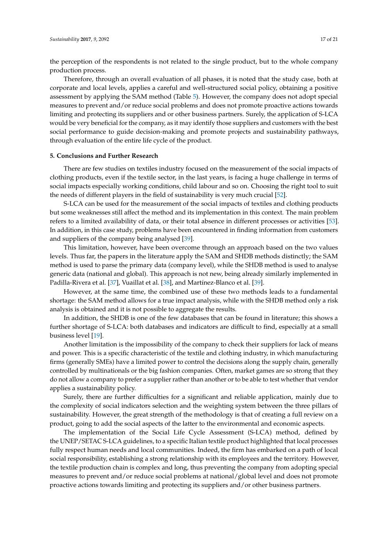the perception of the respondents is not related to the single product, but to the whole company production process.

Therefore, through an overall evaluation of all phases, it is noted that the study case, both at corporate and local levels, applies a careful and well-structured social policy, obtaining a positive assessment by applying the SAM method (Table [5\)](#page-11-2). However, the company does not adopt special measures to prevent and/or reduce social problems and does not promote proactive actions towards limiting and protecting its suppliers and or other business partners. Surely, the application of S-LCA would be very beneficial for the company, as it may identify those suppliers and customers with the best social performance to guide decision-making and promote projects and sustainability pathways, through evaluation of the entire life cycle of the product.

#### **5. Conclusions and Further Research**

There are few studies on textiles industry focused on the measurement of the social impacts of clothing products, even if the textile sector, in the last years, is facing a huge challenge in terms of social impacts especially working conditions, child labour and so on. Choosing the right tool to suit the needs of different players in the field of sustainability is very much crucial [\[52\]](#page-20-5).

S-LCA can be used for the measurement of the social impacts of textiles and clothing products but some weaknesses still affect the method and its implementation in this context. The main problem refers to a limited availability of data, or their total absence in different processes or activities [\[53\]](#page-20-6). In addition, in this case study, problems have been encountered in finding information from customers and suppliers of the company being analysed [\[39\]](#page-19-14).

This limitation, however, have been overcome through an approach based on the two values levels. Thus far, the papers in the literature apply the SAM and SHDB methods distinctly; the SAM method is used to parse the primary data (company level), while the SHDB method is used to analyse generic data (national and global). This approach is not new, being already similarly implemented in Padilla-Rivera et al. [\[37\]](#page-19-12), Vuaillat et al. [\[38\]](#page-19-13), and Martínez-Blanco et al. [\[39\]](#page-19-14).

However, at the same time, the combined use of these two methods leads to a fundamental shortage: the SAM method allows for a true impact analysis, while with the SHDB method only a risk analysis is obtained and it is not possible to aggregate the results.

In addition, the SHDB is one of the few databases that can be found in literature; this shows a further shortage of S-LCA: both databases and indicators are difficult to find, especially at a small business level [\[19\]](#page-18-18).

Another limitation is the impossibility of the company to check their suppliers for lack of means and power. This is a specific characteristic of the textile and clothing industry, in which manufacturing firms (generally SMEs) have a limited power to control the decisions along the supply chain, generally controlled by multinationals or the big fashion companies. Often, market games are so strong that they do not allow a company to prefer a supplier rather than another or to be able to test whether that vendor applies a sustainability policy.

Surely, there are further difficulties for a significant and reliable application, mainly due to the complexity of social indicators selection and the weighting system between the three pillars of sustainability. However, the great strength of the methodology is that of creating a full review on a product, going to add the social aspects of the latter to the environmental and economic aspects.

The implementation of the Social Life Cycle Assessment (S-LCA) method, defined by the UNEP/SETAC S-LCA guidelines, to a specific Italian textile product highlighted that local processes fully respect human needs and local communities. Indeed, the firm has embarked on a path of local social responsibility, establishing a strong relationship with its employees and the territory. However, the textile production chain is complex and long, thus preventing the company from adopting special measures to prevent and/or reduce social problems at national/global level and does not promote proactive actions towards limiting and protecting its suppliers and/or other business partners.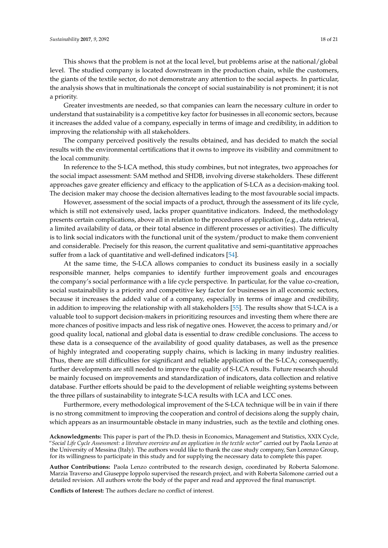This shows that the problem is not at the local level, but problems arise at the national/global level. The studied company is located downstream in the production chain, while the customers, the giants of the textile sector, do not demonstrate any attention to the social aspects. In particular, the analysis shows that in multinationals the concept of social sustainability is not prominent; it is not a priority.

Greater investments are needed, so that companies can learn the necessary culture in order to understand that sustainability is a competitive key factor for businesses in all economic sectors, because it increases the added value of a company, especially in terms of image and credibility, in addition to improving the relationship with all stakeholders.

The company perceived positively the results obtained, and has decided to match the social results with the environmental certifications that it owns to improve its visibility and commitment to the local community.

In reference to the S-LCA method, this study combines, but not integrates, two approaches for the social impact assessment: SAM method and SHDB, involving diverse stakeholders. These different approaches gave greater efficiency and efficacy to the application of S-LCA as a decision-making tool. The decision maker may choose the decision alternatives leading to the most favourable social impacts.

However, assessment of the social impacts of a product, through the assessment of its life cycle, which is still not extensively used, lacks proper quantitative indicators. Indeed, the methodology presents certain complications, above all in relation to the procedures of application (e.g., data retrieval, a limited availability of data, or their total absence in different processes or activities). The difficulty is to link social indicators with the functional unit of the system/product to make them convenient and considerable. Precisely for this reason, the current qualitative and semi-quantitative approaches suffer from a lack of quantitative and well-defined indicators [\[54\]](#page-20-7).

At the same time, the S-LCA allows companies to conduct its business easily in a socially responsible manner, helps companies to identify further improvement goals and encourages the company's social performance with a life cycle perspective. In particular, for the value co-creation, social sustainability is a priority and competitive key factor for businesses in all economic sectors, because it increases the added value of a company, especially in terms of image and credibility, in addition to improving the relationship with all stakeholders [\[55\]](#page-20-8). The results show that S-LCA is a valuable tool to support decision-makers in prioritizing resources and investing them where there are more chances of positive impacts and less risk of negative ones. However, the access to primary and/or good quality local, national and global data is essential to draw credible conclusions. The access to these data is a consequence of the availability of good quality databases, as well as the presence of highly integrated and cooperating supply chains, which is lacking in many industry realities. Thus, there are still difficulties for significant and reliable application of the S-LCA; consequently, further developments are still needed to improve the quality of S-LCA results. Future research should be mainly focused on improvements and standardization of indicators, data collection and relative database. Further efforts should be paid to the development of reliable weighting systems between the three pillars of sustainability to integrate S-LCA results with LCA and LCC ones.

Furthermore, every methodological improvement of the S-LCA technique will be in vain if there is no strong commitment to improving the cooperation and control of decisions along the supply chain, which appears as an insurmountable obstacle in many industries, such as the textile and clothing ones.

**Acknowledgments:** This paper is part of the Ph.D. thesis in Economics, Management and Statistics, XXIX Cycle, "*Social Life Cycle Assessment: a literature overview and an application in the textile sector*" carried out by Paola Lenzo at the University of Messina (Italy). The authors would like to thank the case study company, San Lorenzo Group, for its willingness to participate in this study and for supplying the necessary data to complete this paper.

**Author Contributions:** Paola Lenzo contributed to the research design, coordinated by Roberta Salomone. Marzia Traverso and Giuseppe Ioppolo supervised the research project, and with Roberta Salomone carried out a detailed revision. All authors wrote the body of the paper and read and approved the final manuscript.

**Conflicts of Interest:** The authors declare no conflict of interest.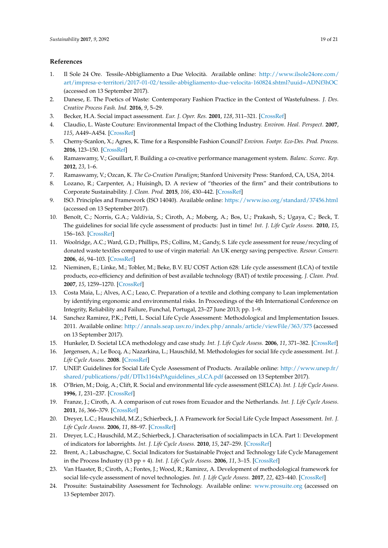## **References**

- <span id="page-18-0"></span>1. Il Sole 24 Ore. Tessile-Abbigliamento a Due Velocità. Available online: [http://www.ilsole24ore.com/](http://www.ilsole24ore.com/art/impresa-e-territori/2017-01-02/tessile-abbigliamento-due-velocita-160824.shtml?uuid=ADNf3hOC) [art/impresa-e-territori/2017-01-02/tessile-abbigliamento-due-velocita-160824.shtml?uuid=ADNf3hOC](http://www.ilsole24ore.com/art/impresa-e-territori/2017-01-02/tessile-abbigliamento-due-velocita-160824.shtml?uuid=ADNf3hOC) (accessed on 13 September 2017).
- <span id="page-18-1"></span>2. Danese, E. The Poetics of Waste: Contemporary Fashion Practice in the Context of Wastefulness. *J. Des. Creative Process Fash. Ind.* **2016**, *9*, 5–29.
- <span id="page-18-2"></span>3. Becker, H.A. Social impact assessment. *Eur. J. Oper. Res.* **2001**, *128*, 311–321. [\[CrossRef\]](http://dx.doi.org/10.1016/S0377-2217(00)00074-6)
- <span id="page-18-3"></span>4. Claudio, L. Waste Couture: Environmental Impact of the Clothing Industry. *Environ. Heal. Perspect.* **2007**, *115*, A449–A454. [\[CrossRef\]](http://dx.doi.org/10.1289/ehp.115-a449)
- <span id="page-18-4"></span>5. Cherny-Scanlon, X.; Agnes, K. Time for a Responsible Fashion Council? *Environ. Footpr. Eco-Des. Prod. Process.* **2016**, 123–150. [\[CrossRef\]](http://dx.doi.org/10.1007/978-981-10-0245-8_4)
- <span id="page-18-5"></span>6. Ramaswamy, V.; Gouillart, F. Building a co-creative performance management system. *Balanc. Scorec. Rep.* **2012**, *23*, 1–6.
- <span id="page-18-6"></span>7. Ramaswamy, V.; Ozcan, K. *The Co-Creation Paradigm*; Stanford University Press: Stanford, CA, USA, 2014.
- <span id="page-18-7"></span>8. Lozano, R.; Carpenter, A.; Huisingh, D. A review of "theories of the firm" and their contributions to Corporate Sustainability. *J. Clean. Prod.* **2015**, *106*, 430–442. [\[CrossRef\]](http://dx.doi.org/10.1016/j.jclepro.2014.05.007)
- <span id="page-18-8"></span>9. ISO. Principles and Framework (ISO 14040). Available online: <https://www.iso.org/standard/37456.html> (accessed on 13 September 2017).
- <span id="page-18-9"></span>10. Benoît, C.; Norris, G.A.; Valdivia, S.; Ciroth, A.; Moberg, A.; Bos, U.; Prakash, S.; Ugaya, C.; Beck, T. The guidelines for social life cycle assessment of products: Just in time! *Int. J. Life Cycle Assess.* **2010**, *15*, 156–163. [\[CrossRef\]](http://dx.doi.org/10.1007/s11367-009-0147-8)
- <span id="page-18-10"></span>11. Woolridge, A.C.; Ward, G.D.; Phillips, P.S.; Collins, M.; Gandy, S. Life cycle assessment for reuse/recycling of donated waste textiles compared to use of virgin material: An UK energy saving perspective. *Resour. Conserv.* **2006**, *46*, 94–103. [\[CrossRef\]](http://dx.doi.org/10.1016/j.resconrec.2005.06.006)
- <span id="page-18-11"></span>12. Nieminen, E.; Linke, M.; Tobler, M.; Beke, B.V. EU COST Action 628: Life cycle assessment (LCA) of textile products, eco-efficiency and definition of best available technology (BAT) of textile processing. *J. Clean. Prod.* **2007**, *15*, 1259–1270. [\[CrossRef\]](http://dx.doi.org/10.1016/j.jclepro.2006.07.011)
- <span id="page-18-12"></span>13. Costa Maia, L.; Alves, A.C.; Leao, C. Preparation of a textile and clothing company to Lean implementation by identifying ergonomic and environmental risks. In Proceedings of the 4th International Conference on Integrity, Reliability and Failure, Funchal, Portugal, 23–27 June 2013; pp. 1–9.
- <span id="page-18-13"></span>14. Sanchez Ramirez, P.K.; Petti, L. Social Life Cycle Assessment: Methodological and Implementation Issues. 2011. Available online: <http://annals.seap.usv.ro/index.php/annals/article/viewFile/363/375> (accessed on 13 September 2017).
- <span id="page-18-14"></span>15. Hunkeler, D. Societal LCA methodology and case study. *Int. J. Life Cycle Assess.* **2006**, *11*, 371–382. [\[CrossRef\]](http://dx.doi.org/10.1065/lca2006.08.261)
- <span id="page-18-15"></span>16. Jørgensen, A.; Le Bocq, A.; Nazarkina, L.; Hauschild, M. Methodologies for social life cycle assessment. *Int. J. Life Cycle Assess.* **2008**. [\[CrossRef\]](http://dx.doi.org/10.1065/lca2007.11.367)
- <span id="page-18-16"></span>17. UNEP. Guidelines for Social Life Cycle Assessment of Products. Available online: [http://www.unep.fr/](http://www.unep.fr/shared/publications/pdf/DTIx1164xPAguidelines_sLCA.pdf) [shared/publications/pdf/DTIx1164xPAguidelines\\_sLCA.pdf](http://www.unep.fr/shared/publications/pdf/DTIx1164xPAguidelines_sLCA.pdf) (accessed on 13 September 2017).
- <span id="page-18-17"></span>18. O'Brien, M.; Doig, A.; Clift, R. Social and environmental life cycle assessment (SELCA). *Int. J. Life Cycle Assess.* **1996**, *1*, 231–237. [\[CrossRef\]](http://dx.doi.org/10.1007/BF02978703)
- <span id="page-18-18"></span>19. Franze, J.; Ciroth, A. A comparison of cut roses from Ecuador and the Netherlands. *Int. J. Life Cycle Assess.* **2011**, *16*, 366–379. [\[CrossRef\]](http://dx.doi.org/10.1007/s11367-011-0266-x)
- <span id="page-18-19"></span>20. Dreyer, L.C.; Hauschild, M.Z.; Schierbeck, J. A Framework for Social Life Cycle Impact Assessment. *Int. J. Life Cycle Assess.* **2006**, *11*, 88–97. [\[CrossRef\]](http://dx.doi.org/10.1065/lca2005.08.223)
- <span id="page-18-20"></span>21. Dreyer, L.C.; Hauschild, M.Z.; Schierbeck, J. Characterisation of socialimpacts in LCA. Part 1: Development of indicators for laborrights. *Int. J. Life Cycle Assess.* **2010**, *15*, 247–259. [\[CrossRef\]](http://dx.doi.org/10.1007/s11367-009-0148-7)
- <span id="page-18-21"></span>22. Brent, A.; Labuschagne, C. Social Indicators for Sustainable Project and Technology Life Cycle Management in the Process Industry (13 pp + 4). *Int. J. Life Cycle Assess.* **2006**, *11*, 3–15. [\[CrossRef\]](http://dx.doi.org/10.1065/lca2006.01.233)
- <span id="page-18-22"></span>23. Van Haaster, B.; Ciroth, A.; Fontes, J.; Wood, R.; Ramirez, A. Development of methodological framework for social life-cycle assessment of novel technologies. *Int. J. Life Cycle Assess.* **2017**, *22*, 423–440. [\[CrossRef\]](http://dx.doi.org/10.1007/s11367-016-1162-1)
- <span id="page-18-23"></span>24. Prosuite: Sustainability Assessment for Technology. Available online: <www.prosuite.org> (accessed on 13 September 2017).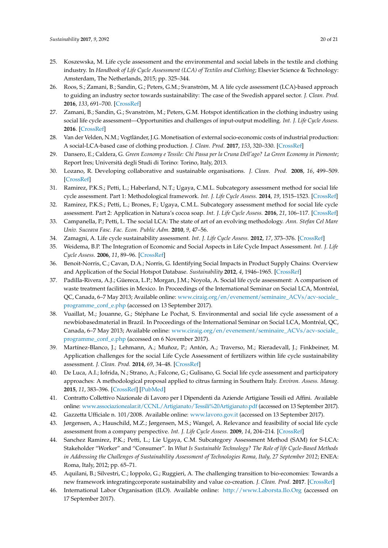- <span id="page-19-0"></span>25. Koszewska, M. Life cycle assessment and the environmental and social labels in the textile and clothing industry. In *Handbook of Life Cycle Assessment (LCA) of Textiles and Clothing*; Elsevier Science & Technology: Amsterdam, The Netherlands, 2015; pp. 325–344.
- <span id="page-19-1"></span>26. Roos, S.; Zamani, B.; Sandin, G.; Peters, G.M.; Svanström, M. A life cycle assessment (LCA)-based approach to guiding an industry sector towards sustainability: The case of the Swedish apparel sector. *J. Clean. Prod.* **2016**, *133*, 691–700. [\[CrossRef\]](http://dx.doi.org/10.1016/j.jclepro.2016.05.146)
- <span id="page-19-2"></span>27. Zamani, B.; Sandin, G.; Svanström, M.; Peters, G.M. Hotspot identification in the clothing industry using social life cycle assessment—Opportunities and challenges of input-output modelling. *Int. J. Life Cycle Assess.* **2016**. [\[CrossRef\]](http://dx.doi.org/10.1007/s11367-016-1113-x)
- <span id="page-19-3"></span>28. Van der Velden, N.M.; Vogtländer, J.G. Monetisation of external socio-economic costs of industrial production: A social-LCA-based case of clothing production. *J. Clean. Prod.* **2017**, *153*, 320–330. [\[CrossRef\]](http://dx.doi.org/10.1016/j.jclepro.2017.03.161)
- <span id="page-19-4"></span>29. Dansero, E.; Caldera, G. *Green Economy e Tessile: Chi Passa per la Cruna Dell'ago? La Green Economy in Piemonte*; Report Ires; Università degli Studi di Torino: Torino, Italy, 2013.
- <span id="page-19-5"></span>30. Lozano, R. Developing collaborative and sustainable organisations. *J. Clean. Prod.* **2008**, *16*, 499–509. [\[CrossRef\]](http://dx.doi.org/10.1016/j.jclepro.2007.01.002)
- <span id="page-19-6"></span>31. Ramirez, P.K.S.; Petti, L.; Haberland, N.T.; Ugaya, C.M.L. Subcategory assessment method for social life cycle assessment. Part 1: Methodological framework. *Int. J. Life Cycle Assess.* **2014**, *19*, 1515–1523. [\[CrossRef\]](http://dx.doi.org/10.1007/s11367-014-0761-y)
- <span id="page-19-7"></span>32. Ramirez, P.K.S.; Petti, L.; Brones, F.; Ugaya, C.M.L. Subcategory assessment method for social life cycle assessment. Part 2: Application in Natura's cocoa soap. *Int. J. Life Cycle Assess.* **2016**, *21*, 106–117. [\[CrossRef\]](http://dx.doi.org/10.1007/s11367-015-0964-x)
- <span id="page-19-8"></span>33. Campanella, P.; Petti, L. The social LCA: The state of art of an evolving methodology. *Ann. Stefan Cel Mare Univ. Suceava Fasc. Fac. Econ. Public Adm.* **2010**, *9*, 47–56.
- <span id="page-19-9"></span>34. Zamagni, A. Life cycle sustainability assessment. *Int. J. Life Cycle Assess.* **2012**, *17*, 373–376. [\[CrossRef\]](http://dx.doi.org/10.1007/s11367-012-0389-8)
- <span id="page-19-10"></span>35. Weidema, B.P. The Integration of Economic and Social Aspects in Life Cycle Impact Assessment. *Int. J. Life Cycle Assess.* **2006**, *11*, 89–96. [\[CrossRef\]](http://dx.doi.org/10.1065/lca2006.04.016)
- <span id="page-19-11"></span>36. Benoit-Norris, C.; Cavan, D.A.; Norris, G. Identifying Social Impacts in Product Supply Chains: Overview and Application of the Social Hotspot Database. *Sustainability* **2012**, *4*, 1946–1965. [\[CrossRef\]](http://dx.doi.org/10.3390/su4091946)
- <span id="page-19-12"></span>37. Padilla-Rivera, A.J.; Güereca, L.P.; Morgan, J.M.; Noyola, A. Social life cycle assessment: A comparison of waste treatment facilities in Mexico. In Proceedings of the International Seminar on Social LCA, Montréal, QC, Canada, 6–7 May 2013; Available online: [www.ciraig.org/en/evenement/seminaire\\_ACVs/acv-sociale\\_](www.ciraig.org/en/evenement/seminaire_ACVs/acv-sociale_programme_conf_e.php) [programme\\_conf\\_e.php](www.ciraig.org/en/evenement/seminaire_ACVs/acv-sociale_programme_conf_e.php) (accessed on 13 September 2017).
- <span id="page-19-13"></span>38. Vuaillat, M.; Jouanne, G.; Stéphane Le Pochat, S. Environmental and social life cycle assessment of a newbiobasedmaterial in Brazil. In Proceedings of the International Seminar on Social LCA, Montréal, QC, Canada, 6–7 May 2013; Available online: [www.ciraig.org/en/evenement/seminaire\\_ACVs/acv-sociale\\_](www.ciraig.org/en/evenement/seminaire_ACVs/acv-sociale_programme_conf_e.php) [programme\\_conf\\_e.php](www.ciraig.org/en/evenement/seminaire_ACVs/acv-sociale_programme_conf_e.php) (accessed on 6 November 2017).
- <span id="page-19-14"></span>39. Martínez-Blanco, J.; Lehmann, A.; Muñoz, P.; Antón, A.; Traverso, M.; Rieradevall, J.; Finkbeiner, M. Application challenges for the social Life Cycle Assessment of fertilizers within life cycle sustainability assessment. *J. Clean. Prod.* **2014**, *69*, 34–48. [\[CrossRef\]](http://dx.doi.org/10.1016/j.jclepro.2014.01.044)
- <span id="page-19-15"></span>40. De Luca, A.I.; Iofrida, N.; Strano, A.; Falcone, G.; Gulisano, G. Social life cycle assessment and participatory approaches: A methodological proposal applied to citrus farming in Southern Italy. *Environ. Assess. Manag.* **2015**, *11*, 383–396. [\[CrossRef\]](http://dx.doi.org/10.1002/ieam.1611) [\[PubMed\]](http://www.ncbi.nlm.nih.gov/pubmed/25556911)
- <span id="page-19-16"></span>41. Contratto Collettivo Nazionale di Lavoro per I Dipendenti da Aziende Artigiane Tessili ed Affini. Available online: <www.associazionealar.it/CCNL/Artigianato/Tessili%20Artigianato.pdf> (accessed on 13 September 2017).
- <span id="page-19-17"></span>42. Gazzetta Ufficiale n. 101/2008. Available online: <www.lavoro.gov.it> (accessed on 13 September 2017).
- <span id="page-19-18"></span>43. Jørgensen, A.; Hauschild, M.Z.; Jørgensen, M.S.; Wangel, A. Relevance and feasibility of social life cycle assessment from a company perspective. *Int. J. Life Cycle Assess.* **2009**, *14*, 204–214. [\[CrossRef\]](http://dx.doi.org/10.1007/s11367-009-0073-9)
- <span id="page-19-19"></span>44. Sanchez Ramirez, P.K.; Petti, L.; Lie Ugaya, C.M. Subcategory Assessment Method (SAM) for S-LCA: Stakeholder "Worker" and "Consumer". In *What Is Sustainable Technology? The Role of life Cycle-Based Methods in Addressing the Challenges of Sustainability Assessment of Technologies Roma, Italy, 27 September 2012*; ENEA: Roma, Italy, 2012; pp. 65–71.
- <span id="page-19-20"></span>45. Aquilani, B.; Silvestri, C.; Ioppolo, G.; Ruggieri, A. The challenging transition to bio-economies: Towards a new framework integratingcorporate sustainability and value co-creation. *J. Clean. Prod.* **2017**. [\[CrossRef\]](http://dx.doi.org/10.1016/j.jclepro.2017.03.153)
- <span id="page-19-21"></span>46. International Labor Organisation (ILO). Available online: <http://www.Laborsta.Ilo.Org> (accessed on 17 September 2017).